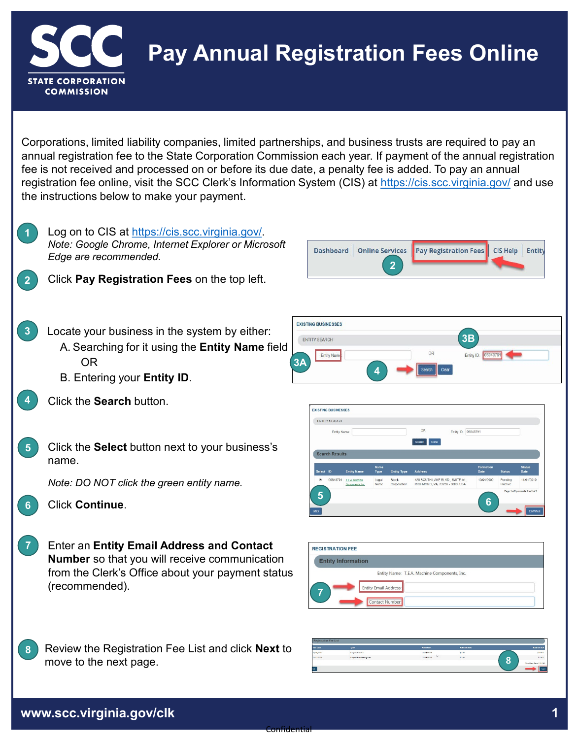

## **Pay Annual Registration Fees Online**

Corporations, limited liability companies, limited partnerships, and business trusts are required to pay an annual registration fee to the State Corporation Commission each year. If payment of the annual registration fee is not received and processed on or before its due date, a penalty fee is added. To pay an annual registration fee online, visit the SCC Clerk's Information System (CIS) at <https://cis.scc.virginia.gov/> and use the instructions below to make your payment.



**2**

**3**

**4**

Log on to CIS at [https://cis.scc.virginia.gov/.](https://cis.scc.virginia.gov/) *Note: Google Chrome, Internet Explorer or Microsoft Edge are recommended.*

- Click **Pay Registration Fees** on the top left.
- Locate your business in the system by either: A. Searching for it using the **Entity Name** field OR
	- B. Entering your **Entity ID**.
- Click the **Search** button.
- Click the **Select** button next to your business's name. **5**
	- *Note: DO NOT click the green entity name.*
- 
- Enter an **Entity Email Address and Contact Number** so that you will receive communication from the Clerk's Office about your payment status (recommended). **7**
- **8** Review the Registration Fee List and click **Next** to move to the next page. **8**







| <b>REGISTRATION FEE</b> |                                              |  |
|-------------------------|----------------------------------------------|--|
|                         | <b>Entity Information</b>                    |  |
|                         | Entity Name: T.E.A. Machine Components, Inc. |  |
|                         | <b>Entity Email Address:</b>                 |  |
|                         | Contact Number:                              |  |

| <b>Registration Fee List</b> |                          |            |             |                              |  |  |
|------------------------------|--------------------------|------------|-------------|------------------------------|--|--|
| <b>Due Date</b>              | Type                     | Paid Date  | Paid Amount | <b>Balance Due</b>           |  |  |
| 10/31/2010                   | <b>Reportedion Four</b>  | 01/24/2020 | \$0.00      | \$500.00                     |  |  |
| 10/11/2009                   | Registration Fenalty Fee | 01/24/2028 | 50.00       | \$1200<br>Ω                  |  |  |
|                              |                          |            |             | ٠<br>Total fine Due: 5130.00 |  |  |
| to a                         |                          |            |             | <b>Neat</b>                  |  |  |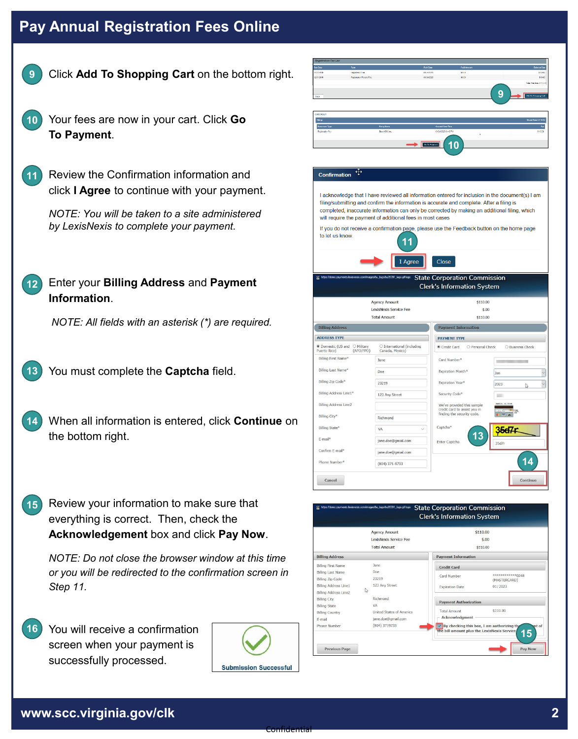## **Pay Annual Registration Fees Online**